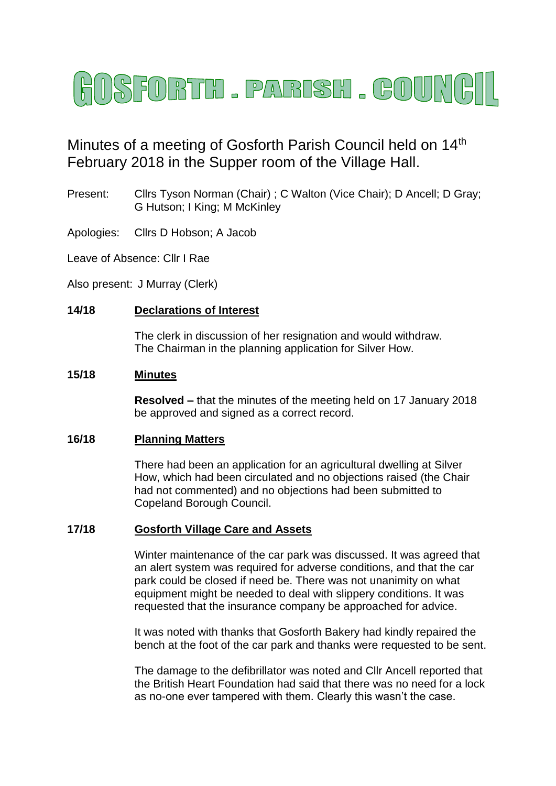

# Minutes of a meeting of Gosforth Parish Council held on 14<sup>th</sup> February 2018 in the Supper room of the Village Hall.

- Present: Cllrs Tyson Norman (Chair) ; C Walton (Vice Chair); D Ancell; D Gray; G Hutson; I King; M McKinley
- Apologies: Cllrs D Hobson; A Jacob

Leave of Absence: Cllr I Rae

Also present: J Murray (Clerk)

# **14/18 Declarations of Interest**

The clerk in discussion of her resignation and would withdraw. The Chairman in the planning application for Silver How.

## **15/18 Minutes**

**Resolved –** that the minutes of the meeting held on 17 January 2018 be approved and signed as a correct record.

## **16/18 Planning Matters**

There had been an application for an agricultural dwelling at Silver How, which had been circulated and no objections raised (the Chair had not commented) and no objections had been submitted to Copeland Borough Council.

## **17/18 Gosforth Village Care and Assets**

Winter maintenance of the car park was discussed. It was agreed that an alert system was required for adverse conditions, and that the car park could be closed if need be. There was not unanimity on what equipment might be needed to deal with slippery conditions. It was requested that the insurance company be approached for advice.

It was noted with thanks that Gosforth Bakery had kindly repaired the bench at the foot of the car park and thanks were requested to be sent.

The damage to the defibrillator was noted and Cllr Ancell reported that the British Heart Foundation had said that there was no need for a lock as no-one ever tampered with them. Clearly this wasn't the case.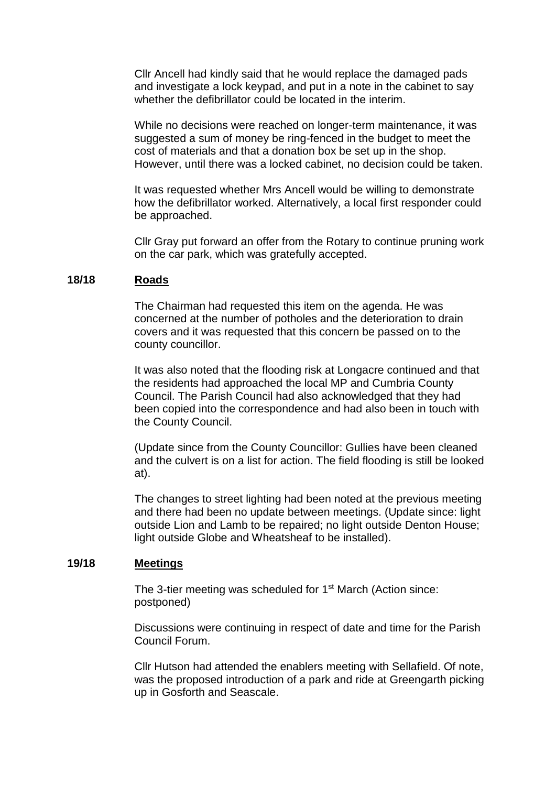Cllr Ancell had kindly said that he would replace the damaged pads and investigate a lock keypad, and put in a note in the cabinet to say whether the defibrillator could be located in the interim.

While no decisions were reached on longer-term maintenance, it was suggested a sum of money be ring-fenced in the budget to meet the cost of materials and that a donation box be set up in the shop. However, until there was a locked cabinet, no decision could be taken.

It was requested whether Mrs Ancell would be willing to demonstrate how the defibrillator worked. Alternatively, a local first responder could be approached.

Cllr Gray put forward an offer from the Rotary to continue pruning work on the car park, which was gratefully accepted.

## **18/18 Roads**

The Chairman had requested this item on the agenda. He was concerned at the number of potholes and the deterioration to drain covers and it was requested that this concern be passed on to the county councillor.

It was also noted that the flooding risk at Longacre continued and that the residents had approached the local MP and Cumbria County Council. The Parish Council had also acknowledged that they had been copied into the correspondence and had also been in touch with the County Council.

(Update since from the County Councillor: Gullies have been cleaned and the culvert is on a list for action. The field flooding is still be looked at).

The changes to street lighting had been noted at the previous meeting and there had been no update between meetings. (Update since: light outside Lion and Lamb to be repaired; no light outside Denton House; light outside Globe and Wheatsheaf to be installed).

## **19/18 Meetings**

The 3-tier meeting was scheduled for 1<sup>st</sup> March (Action since: postponed)

Discussions were continuing in respect of date and time for the Parish Council Forum.

Cllr Hutson had attended the enablers meeting with Sellafield. Of note, was the proposed introduction of a park and ride at Greengarth picking up in Gosforth and Seascale.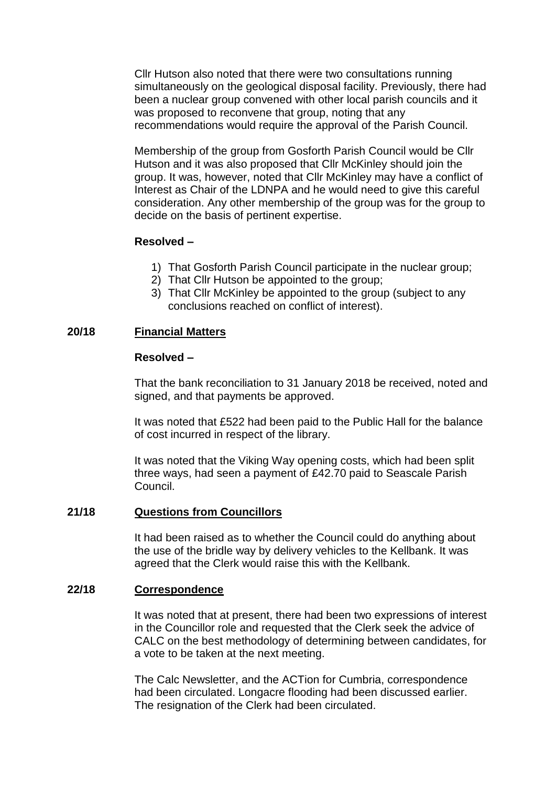Cllr Hutson also noted that there were two consultations running simultaneously on the geological disposal facility. Previously, there had been a nuclear group convened with other local parish councils and it was proposed to reconvene that group, noting that any recommendations would require the approval of the Parish Council.

Membership of the group from Gosforth Parish Council would be Cllr Hutson and it was also proposed that Cllr McKinley should join the group. It was, however, noted that Cllr McKinley may have a conflict of Interest as Chair of the LDNPA and he would need to give this careful consideration. Any other membership of the group was for the group to decide on the basis of pertinent expertise.

# **Resolved –**

- 1) That Gosforth Parish Council participate in the nuclear group;
- 2) That Cllr Hutson be appointed to the group;
- 3) That Cllr McKinley be appointed to the group (subject to any conclusions reached on conflict of interest).

# **20/18 Financial Matters**

## **Resolved –**

That the bank reconciliation to 31 January 2018 be received, noted and signed, and that payments be approved.

It was noted that £522 had been paid to the Public Hall for the balance of cost incurred in respect of the library.

It was noted that the Viking Way opening costs, which had been split three ways, had seen a payment of £42.70 paid to Seascale Parish Council.

## **21/18 Questions from Councillors**

It had been raised as to whether the Council could do anything about the use of the bridle way by delivery vehicles to the Kellbank. It was agreed that the Clerk would raise this with the Kellbank.

## **22/18 Correspondence**

It was noted that at present, there had been two expressions of interest in the Councillor role and requested that the Clerk seek the advice of CALC on the best methodology of determining between candidates, for a vote to be taken at the next meeting.

The Calc Newsletter, and the ACTion for Cumbria, correspondence had been circulated. Longacre flooding had been discussed earlier. The resignation of the Clerk had been circulated.